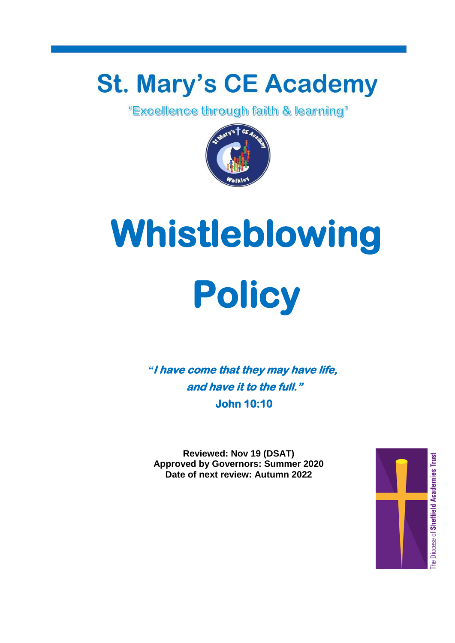## **St. Mary's CE Academy**<br>Excellence through faith & learning"



# **Whistleblowing Policy**

*"***I have come that they may have life, and have it to the full." John 10:10** 

**Reviewed: Nov 19 (DSAT) Approved by Governors: Summer 2020 Date of next review: Autumn 2022**

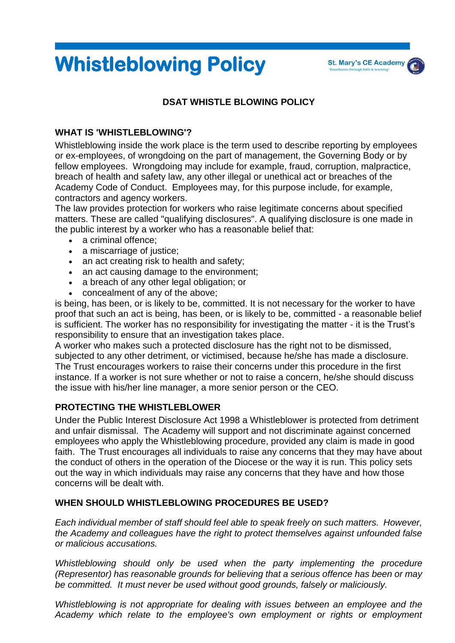### **Whistleblowing Policy**

#### **DSAT WHISTLE BLOWING POLICY**

#### **WHAT IS 'WHISTLEBLOWING'?**

Whistleblowing inside the work place is the term used to describe reporting by employees or ex-employees, of wrongdoing on the part of management, the Governing Body or by fellow employees. Wrongdoing may include for example, fraud, corruption, malpractice, breach of health and safety law, any other illegal or unethical act or breaches of the Academy Code of Conduct. Employees may, for this purpose include, for example, contractors and agency workers.

The law provides protection for workers who raise legitimate concerns about specified matters. These are called "qualifying disclosures". A qualifying disclosure is one made in the public interest by a worker who has a reasonable belief that:

- a criminal offence:
- a miscarriage of justice:
- an act creating risk to health and safety;
- an act causing damage to the environment;
- a breach of any other legal obligation; or
- concealment of any of the above;

is being, has been, or is likely to be, committed. It is not necessary for the worker to have proof that such an act is being, has been, or is likely to be, committed - a reasonable belief is sufficient. The worker has no responsibility for investigating the matter - it is the Trust's responsibility to ensure that an investigation takes place.

A worker who makes such a protected disclosure has the right not to be dismissed, subjected to any other detriment, or victimised, because he/she has made a disclosure. The Trust encourages workers to raise their concerns under this procedure in the first instance. If a worker is not sure whether or not to raise a concern, he/she should discuss the issue with his/her line manager, a more senior person or the CEO.

#### **PROTECTING THE WHISTLEBLOWER**

Under the Public Interest Disclosure Act 1998 a Whistleblower is protected from detriment and unfair dismissal. The Academy will support and not discriminate against concerned employees who apply the Whistleblowing procedure, provided any claim is made in good faith. The Trust encourages all individuals to raise any concerns that they may have about the conduct of others in the operation of the Diocese or the way it is run. This policy sets out the way in which individuals may raise any concerns that they have and how those concerns will be dealt with.

#### **WHEN SHOULD WHISTLEBLOWING PROCEDURES BE USED?**

*Each individual member of staff should feel able to speak freely on such matters. However, the Academy and colleagues have the right to protect themselves against unfounded false or malicious accusations.*

*Whistleblowing should only be used when the party implementing the procedure (Representor) has reasonable grounds for believing that a serious offence has been or may be committed. It must never be used without good grounds, falsely or maliciously.*

*Whistleblowing is not appropriate for dealing with issues between an employee and the Academy which relate to the employee's own employment or rights or employment*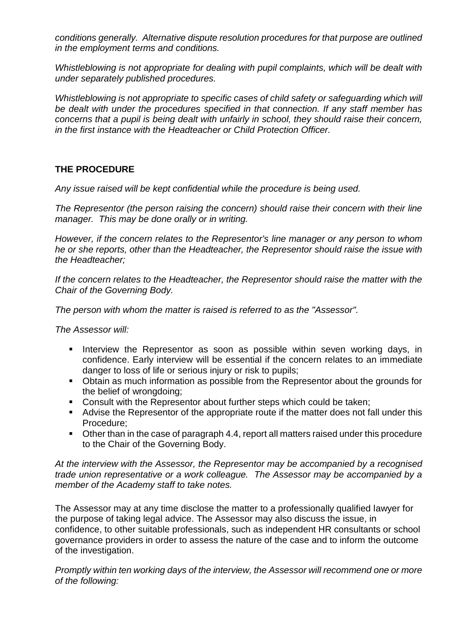*conditions generally. Alternative dispute resolution procedures for that purpose are outlined in the employment terms and conditions.*

*Whistleblowing is not appropriate for dealing with pupil complaints, which will be dealt with under separately published procedures.*

*Whistleblowing is not appropriate to specific cases of child safety or safequarding which will be dealt with under the procedures specified in that connection. If any staff member has concerns that a pupil is being dealt with unfairly in school, they should raise their concern, in the first instance with the Headteacher or Child Protection Officer.*

#### **THE PROCEDURE**

*Any issue raised will be kept confidential while the procedure is being used.*

*The Representor (the person raising the concern) should raise their concern with their line manager. This may be done orally or in writing.*

*However, if the concern relates to the Representor's line manager or any person to whom he or she reports, other than the Headteacher, the Representor should raise the issue with the Headteacher;*

*If the concern relates to the Headteacher, the Representor should raise the matter with the Chair of the Governing Body.*

*The person with whom the matter is raised is referred to as the "Assessor".*

*The Assessor will:*

- Interview the Representor as soon as possible within seven working days, in confidence. Early interview will be essential if the concern relates to an immediate danger to loss of life or serious injury or risk to pupils;
- Obtain as much information as possible from the Representor about the grounds for the belief of wrongdoing;
- **Consult with the Representor about further steps which could be taken;**
- Advise the Representor of the appropriate route if the matter does not fall under this Procedure;
- Other than in the case of paragraph 4.4, report all matters raised under this procedure to the Chair of the Governing Body.

*At the interview with the Assessor, the Representor may be accompanied by a recognised trade union representative or a work colleague. The Assessor may be accompanied by a member of the Academy staff to take notes.*

The Assessor may at any time disclose the matter to a professionally qualified lawyer for the purpose of taking legal advice. The Assessor may also discuss the issue, in confidence, to other suitable professionals, such as independent HR consultants or school governance providers in order to assess the nature of the case and to inform the outcome of the investigation.

*Promptly within ten working days of the interview, the Assessor will recommend one or more of the following:*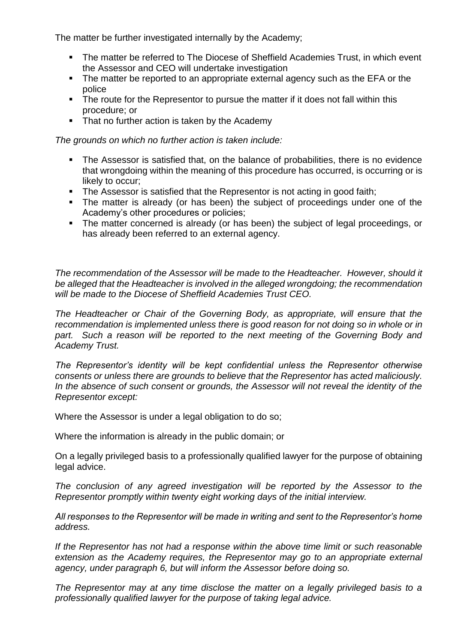The matter be further investigated internally by the Academy;

- The matter be referred to The Diocese of Sheffield Academies Trust, in which event the Assessor and CEO will undertake investigation
- The matter be reported to an appropriate external agency such as the EFA or the police
- The route for the Representor to pursue the matter if it does not fall within this procedure; or
- That no further action is taken by the Academy

*The grounds on which no further action is taken include:*

- The Assessor is satisfied that, on the balance of probabilities, there is no evidence that wrongdoing within the meaning of this procedure has occurred, is occurring or is likely to occur;
- The Assessor is satisfied that the Representor is not acting in good faith;
- The matter is already (or has been) the subject of proceedings under one of the Academy's other procedures or policies;
- The matter concerned is already (or has been) the subject of legal proceedings, or has already been referred to an external agency.

*The recommendation of the Assessor will be made to the Headteacher. However, should it be alleged that the Headteacher is involved in the alleged wrongdoing; the recommendation will be made to the Diocese of Sheffield Academies Trust CEO.*

*The Headteacher or Chair of the Governing Body, as appropriate, will ensure that the recommendation is implemented unless there is good reason for not doing so in whole or in*  part. Such a reason will be reported to the next meeting of the Governing Body and *Academy Trust.*

*The Representor's identity will be kept confidential unless the Representor otherwise consents or unless there are grounds to believe that the Representor has acted maliciously.*  In the absence of such consent or grounds, the Assessor will not reveal the identity of the *Representor except:*

Where the Assessor is under a legal obligation to do so;

Where the information is already in the public domain; or

On a legally privileged basis to a professionally qualified lawyer for the purpose of obtaining legal advice.

*The conclusion of any agreed investigation will be reported by the Assessor to the Representor promptly within twenty eight working days of the initial interview.*

*All responses to the Representor will be made in writing and sent to the Representor's home address.*

*If the Representor has not had a response within the above time limit or such reasonable extension as the Academy requires, the Representor may go to an appropriate external agency, under paragraph 6, but will inform the Assessor before doing so.*

*The Representor may at any time disclose the matter on a legally privileged basis to a professionally qualified lawyer for the purpose of taking legal advice.*